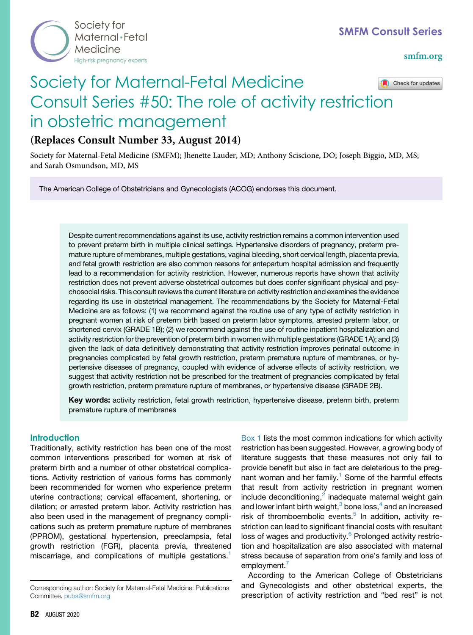

#### [smfm.org](www.smfm.org)

Check for updates

# Society for Maternal-Fetal Medicine Consult Series #50: The role of activity restriction in obstetric management

(Replaces Consult Number 33, August 2014) Society for Maternal-Fetal Medicine (SMFM); Jhenette Lauder, MD; Anthony Sciscione, DO; Joseph Biggio, MD, MS; and Sarah Osmundson, MD, MS

The American College of Obstetricians and Gynecologists (ACOG) endorses this document.

Despite current recommendations against its use, activity restriction remains a common intervention used to prevent preterm birth in multiple clinical settings. Hypertensive disorders of pregnancy, preterm premature rupture of membranes, multiple gestations, vaginal bleeding, short cervical length, placenta previa, and fetal growth restriction are also common reasons for antepartum hospital admission and frequently lead to a recommendation for activity restriction. However, numerous reports have shown that activity restriction does not prevent adverse obstetrical outcomes but does confer significant physical and psychosocial risks. This consult reviews the current literature on activity restriction and examines the evidence regarding its use in obstetrical management. The recommendations by the Society for Maternal-Fetal Medicine are as follows: (1) we recommend against the routine use of any type of activity restriction in pregnant women at risk of preterm birth based on preterm labor symptoms, arrested preterm labor, or shortened cervix (GRADE 1B); (2) we recommend against the use of routine inpatient hospitalization and activity restriction for the prevention of preterm birth in women with multiple gestations (GRADE 1A); and (3) given the lack of data definitively demonstrating that activity restriction improves perinatal outcome in pregnancies complicated by fetal growth restriction, preterm premature rupture of membranes, or hypertensive diseases of pregnancy, coupled with evidence of adverse effects of activity restriction, we suggest that activity restriction not be prescribed for the treatment of pregnancies complicated by fetal growth restriction, preterm premature rupture of membranes, or hypertensive disease (GRADE 2B).

Key words: activity restriction, fetal growth restriction, hypertensive disease, preterm birth, preterm premature rupture of membranes

#### **Introduction**

Traditionally, activity restriction has been one of the most common interventions prescribed for women at risk of preterm birth and a number of other obstetrical complications. Activity restriction of various forms has commonly been recommended for women who experience preterm uterine contractions; cervical effacement, shortening, or dilation; or arrested preterm labor. Activity restriction has also been used in the management of pregnancy complications such as preterm premature rupture of membranes (PPROM), gestational hypertension, preeclampsia, fetal growth restriction (FGR), placenta previa, threatened miscarriage, and complications of multiple gestations.<sup>[1](#page-7-0)</sup>

Box 1 lists the most common indications for which activity restriction has been suggested. However, a growing body of literature suggests that these measures not only fail to provide benefit but also in fact are deleterious to the preg-nant woman and her family.<sup>[1](#page-7-0)</sup> Some of the harmful effects that result from activity restriction in pregnant women include deconditioning, $<sup>2</sup>$  $<sup>2</sup>$  $<sup>2</sup>$  inadequate maternal weight gain</sup> and lower infant birth weight, $3$  bone loss, $4$  and an increased risk of thromboembolic events.<sup>5</sup> In addition, activity restriction can lead to significant financial costs with resultant loss of wages and productivity.<sup>[6](#page-7-5)</sup> Prolonged activity restriction and hospitalization are also associated with maternal stress because of separation from one's family and loss of employment.

According to the American College of Obstetricians and Gynecologists and other obstetrical experts, the prescription of activity restriction and "bed rest" is not

Corresponding author: Society for Maternal-Fetal Medicine: Publications Committee. [pubs@smfm.org](mailto:pubs@smfm.org)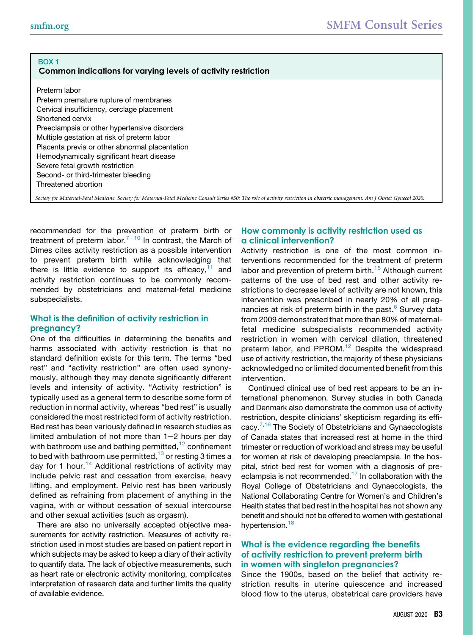#### BOX 1

# Common indications for varying levels of activity restriction

Preterm labor

Preterm premature rupture of membranes Cervical insufficiency, cerclage placement Shortened cervix Preeclampsia or other hypertensive disorders Multiple gestation at risk of preterm labor Placenta previa or other abnormal placentation Hemodynamically significant heart disease Severe fetal growth restriction Second- or third-trimester bleeding Threatened abortion

Society for Maternal-Fetal Medicine. Society for Maternal-Fetal Medicine Consult Series #50: The role of activity restriction in obstetric management. Am J Obstet Gynecol 2020.

recommended for the prevention of preterm birth or treatment of preterm labor. $7-10$  $7-10$  In contrast, the March of Dimes cites activity restriction as a possible intervention to prevent preterm birth while acknowledging that there is little evidence to support its efficacy, $11$  and activity restriction continues to be commonly recommended by obstetricians and maternal-fetal medicine subspecialists.

## What is the definition of activity restriction in pregnancy?

One of the difficulties in determining the benefits and harms associated with activity restriction is that no standard definition exists for this term. The terms "bed rest" and "activity restriction" are often used synonymously, although they may denote significantly different levels and intensity of activity. "Activity restriction" is typically used as a general term to describe some form of reduction in normal activity, whereas "bed rest" is usually considered the most restricted form of activity restriction. Bed rest has been variously defined in research studies as limited ambulation of not more than  $1-2$  hours per day with bathroom use and bathing permitted,<sup>[12](#page-7-9)</sup> confinement to bed with bathroom use permitted, $13$  or resting 3 times a day for 1 hour.<sup>[14](#page-7-11)</sup> Additional restrictions of activity may include pelvic rest and cessation from exercise, heavy lifting, and employment. Pelvic rest has been variously defined as refraining from placement of anything in the vagina, with or without cessation of sexual intercourse and other sexual activities (such as orgasm).

There are also no universally accepted objective measurements for activity restriction. Measures of activity restriction used in most studies are based on patient report in which subjects may be asked to keep a diary of their activity to quantify data. The lack of objective measurements, such as heart rate or electronic activity monitoring, complicates interpretation of research data and further limits the quality of available evidence.

## How commonly is activity restriction used as a clinical intervention?

Activity restriction is one of the most common interventions recommended for the treatment of preterm labor and prevention of preterm birth.<sup>[15](#page-7-12)</sup> Although current patterns of the use of bed rest and other activity restrictions to decrease level of activity are not known, this intervention was prescribed in nearly 20% of all preg-nancies at risk of preterm birth in the past.<sup>[6](#page-7-5)</sup> Survey data from 2009 demonstrated that more than 80% of maternalfetal medicine subspecialists recommended activity restriction in women with cervical dilation, threatened preterm labor, and PPROM.<sup>[12](#page-7-9)</sup> Despite the widespread use of activity restriction, the majority of these physicians acknowledged no or limited documented benefit from this intervention.

Continued clinical use of bed rest appears to be an international phenomenon. Survey studies in both Canada and Denmark also demonstrate the common use of activity restriction, despite clinicians' skepticism regarding its effi-cacy.<sup>[7](#page-7-6)[,16](#page-7-13)</sup> The Society of Obstetricians and Gynaecologists of Canada states that increased rest at home in the third trimester or reduction of workload and stress may be useful for women at risk of developing preeclampsia. In the hospital, strict bed rest for women with a diagnosis of pre-eclampsia is not recommended.<sup>[17](#page-7-14)</sup> In collaboration with the Royal College of Obstetricians and Gynaecologists, the National Collaborating Centre for Women's and Children's Health states that bed rest in the hospital has not shown any benefit and should not be offered to women with gestational hypertension.<sup>[18](#page-7-15)</sup>

#### What is the evidence regarding the benefits of activity restriction to prevent preterm birth in women with singleton pregnancies?

Since the 1900s, based on the belief that activity restriction results in uterine quiescence and increased blood flow to the uterus, obstetrical care providers have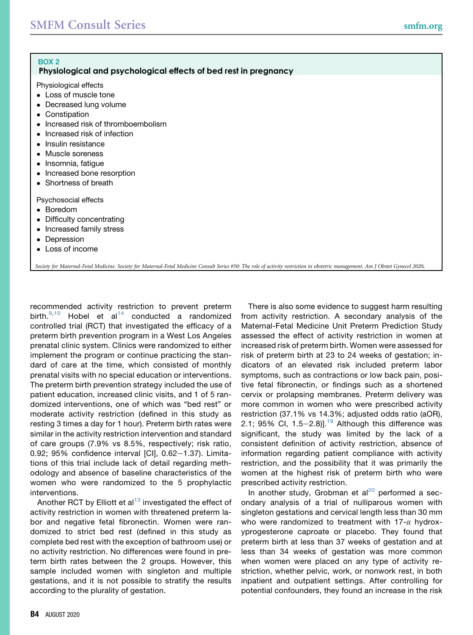#### BOX 2

| Physiological and psychological effects of bed rest in pregnancy |  |  |
|------------------------------------------------------------------|--|--|
|                                                                  |  |  |

Physiological effects

- Loss of muscle tone
- Decreased lung volume
- **Constipation**
- Increased risk of thromboembolism
- Increased risk of infection
- Insulin resistance
- Muscle soreness
- Insomnia, fatigue
- Increased bone resorption
- Shortness of breath

Psychosocial effects

- Boredom
- Difficulty concentrating
- Increased family stress
- Depression
- Loss of income

Society for Maternal-Fetal Medicine. Society for Maternal-Fetal Medicine Consult Series #50: The role of activity restriction in obstetric management. Am J Obstet Gynecol 2020.

recommended activity restriction to prevent preterm birth. $9,10$  $9,10$  Hobel et al<sup>[14](#page-7-11)</sup> conducted a randomized controlled trial (RCT) that investigated the efficacy of a preterm birth prevention program in a West Los Angeles prenatal clinic system. Clinics were randomized to either implement the program or continue practicing the standard of care at the time, which consisted of monthly prenatal visits with no special education or interventions. The preterm birth prevention strategy included the use of patient education, increased clinic visits, and 1 of 5 randomized interventions, one of which was "bed rest" or moderate activity restriction (defined in this study as resting 3 times a day for 1 hour). Preterm birth rates were similar in the activity restriction intervention and standard of care groups (7.9% vs 8.5%, respectively; risk ratio,  $0.92$ ;  $95\%$  confidence interval [CI],  $0.62-1.37$ ). Limitations of this trial include lack of detail regarding methodology and absence of baseline characteristics of the women who were randomized to the 5 prophylactic interventions.

Another RCT by Elliott et al<sup>[13](#page-7-10)</sup> investigated the effect of activity restriction in women with threatened preterm labor and negative fetal fibronectin. Women were randomized to strict bed rest (defined in this study as complete bed rest with the exception of bathroom use) or no activity restriction. No differences were found in preterm birth rates between the 2 groups. However, this sample included women with singleton and multiple gestations, and it is not possible to stratify the results according to the plurality of gestation.

There is also some evidence to suggest harm resulting from activity restriction. A secondary analysis of the Maternal-Fetal Medicine Unit Preterm Prediction Study assessed the effect of activity restriction in women at increased risk of preterm birth. Women were assessed for risk of preterm birth at 23 to 24 weeks of gestation; indicators of an elevated risk included preterm labor symptoms, such as contractions or low back pain, positive fetal fibronectin, or findings such as a shortened cervix or prolapsing membranes. Preterm delivery was more common in women who were prescribed activity restriction (37.1% vs 14.3%; adjusted odds ratio (aOR), 2.1; 95% CI, 1.5-2.8)].<sup>[19](#page-7-17)</sup> Although this difference was significant, the study was limited by the lack of a consistent definition of activity restriction, absence of information regarding patient compliance with activity restriction, and the possibility that it was primarily the women at the highest risk of preterm birth who were prescribed activity restriction.

In another study, Grobman et  $al^{20}$  $al^{20}$  $al^{20}$  performed a secondary analysis of a trial of nulliparous women with singleton gestations and cervical length less than 30 mm who were randomized to treatment with 17- $\alpha$  hydroxyprogesterone caproate or placebo. They found that preterm birth at less than 37 weeks of gestation and at less than 34 weeks of gestation was more common when women were placed on any type of activity restriction, whether pelvic, work, or nonwork rest, in both inpatient and outpatient settings. After controlling for potential confounders, they found an increase in the risk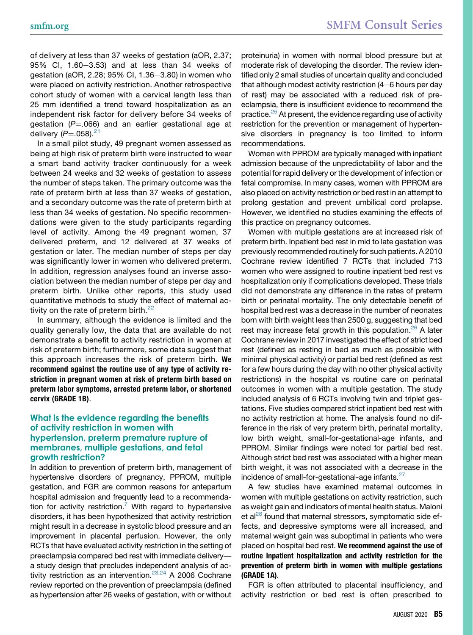of delivery at less than 37 weeks of gestation (aOR, 2.37;  $95\%$  CI, 1.60 $-3.53$ ) and at less than 34 weeks of gestation (aOR, 2.28; 95% CI, 1.36-3.80) in women who were placed on activity restriction. Another retrospective cohort study of women with a cervical length less than 25 mm identified a trend toward hospitalization as an independent risk factor for delivery before 34 weeks of gestation ( $P = .066$ ) and an earlier gestational age at delivery ( $P = .058$ ).<sup>[21](#page-7-19)</sup>

In a small pilot study, 49 pregnant women assessed as being at high risk of preterm birth were instructed to wear a smart band activity tracker continuously for a week between 24 weeks and 32 weeks of gestation to assess the number of steps taken. The primary outcome was the rate of preterm birth at less than 37 weeks of gestation, and a secondary outcome was the rate of preterm birth at less than 34 weeks of gestation. No specific recommendations were given to the study participants regarding level of activity. Among the 49 pregnant women, 37 delivered preterm, and 12 delivered at 37 weeks of gestation or later. The median number of steps per day was significantly lower in women who delivered preterm. In addition, regression analyses found an inverse association between the median number of steps per day and preterm birth. Unlike other reports, this study used quantitative methods to study the effect of maternal activity on the rate of preterm birth. $^{22}$  $^{22}$  $^{22}$ 

In summary, although the evidence is limited and the quality generally low, the data that are available do not demonstrate a benefit to activity restriction in women at risk of preterm birth; furthermore, some data suggest that this approach increases the risk of preterm birth. We recommend against the routine use of any type of activity restriction in pregnant women at risk of preterm birth based on preterm labor symptoms, arrested preterm labor, or shortened cervix (GRADE 1B).

#### What is the evidence regarding the benefits of activity restriction in women with hypertension, preterm premature rupture of membranes, multiple gestations, and fetal growth restriction?

In addition to prevention of preterm birth, management of hypertensive disorders of pregnancy, PPROM, multiple gestation, and FGR are common reasons for antepartum hospital admission and frequently lead to a recommenda-tion for activity restriction.<sup>[7](#page-7-6)</sup> With regard to hypertensive disorders, it has been hypothesized that activity restriction might result in a decrease in systolic blood pressure and an improvement in placental perfusion. However, the only RCTs that have evaluated activity restriction in the setting of preeclampsia compared bed rest with immediate delivery a study design that precludes independent analysis of activity restriction as an intervention. $23,24$  $23,24$  A 2006 Cochrane review reported on the prevention of preeclampsia (defined as hypertension after 26 weeks of gestation, with or without proteinuria) in women with normal blood pressure but at moderate risk of developing the disorder. The review identified only 2 small studies of uncertain quality and concluded that although modest activity restriction  $(4-6$  hours per day of rest) may be associated with a reduced risk of preeclampsia, there is insufficient evidence to recommend the practice.<sup>[25](#page-7-23)</sup> At present, the evidence regarding use of activity restriction for the prevention or management of hypertensive disorders in pregnancy is too limited to inform recommendations.

Women with PPROM are typically managed with inpatient admission because of the unpredictability of labor and the potential for rapid delivery or the development of infection or fetal compromise. In many cases, women with PPROM are also placed on activity restriction or bed rest in an attempt to prolong gestation and prevent umbilical cord prolapse. However, we identified no studies examining the effects of this practice on pregnancy outcomes.

Women with multiple gestations are at increased risk of preterm birth. Inpatient bed rest in mid to late gestation was previously recommended routinely for such patients. A 2010 Cochrane review identified 7 RCTs that included 713 women who were assigned to routine inpatient bed rest vs hospitalization only if complications developed. These trials did not demonstrate any difference in the rates of preterm birth or perinatal mortality. The only detectable benefit of hospital bed rest was a decrease in the number of neonates born with birth weight less than 2500 g, suggesting that bed rest may increase fetal growth in this population. $26$  A later Cochrane review in 2017 investigated the effect of strict bed rest (defined as resting in bed as much as possible with minimal physical activity) or partial bed rest (defined as rest for a few hours during the day with no other physical activity restrictions) in the hospital vs routine care on perinatal outcomes in women with a multiple gestation. The study included analysis of 6 RCTs involving twin and triplet gestations. Five studies compared strict inpatient bed rest with no activity restriction at home. The analysis found no difference in the risk of very preterm birth, perinatal mortality, low birth weight, small-for-gestational-age infants, and PPROM. Similar findings were noted for partial bed rest. Although strict bed rest was associated with a higher mean birth weight, it was not associated with a decrease in the incidence of small-for-gestational-age infants.<sup>[27](#page-7-25)</sup>

A few studies have examined maternal outcomes in women with multiple gestations on activity restriction, such as weight gain and indicators of mental health status. Maloni et al<sup>[28](#page-7-26)</sup> found that maternal stressors, symptomatic side effects, and depressive symptoms were all increased, and maternal weight gain was suboptimal in patients who were placed on hospital bed rest. We recommend against the use of routine inpatient hospitalization and activity restriction for the prevention of preterm birth in women with multiple gestations (GRADE 1A).

FGR is often attributed to placental insufficiency, and activity restriction or bed rest is often prescribed to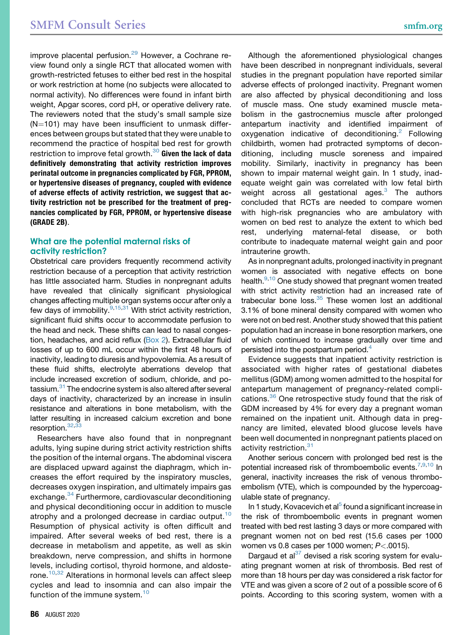improve placental perfusion.<sup>[29](#page-7-27)</sup> However, a Cochrane review found only a single RCT that allocated women with growth-restricted fetuses to either bed rest in the hospital or work restriction at home (no subjects were allocated to normal activity). No differences were found in infant birth weight, Apgar scores, cord pH, or operative delivery rate. The reviewers noted that the study's small sample size  $(N=101)$  may have been insufficient to unmask differences between groups but stated that they were unable to recommend the practice of hospital bed rest for growth restriction to improve fetal growth. $30$  Given the lack of data definitively demonstrating that activity restriction improves perinatal outcome in pregnancies complicated by FGR, PPROM, or hypertensive diseases of pregnancy, coupled with evidence of adverse effects of activity restriction, we suggest that activity restriction not be prescribed for the treatment of pregnancies complicated by FGR, PPROM, or hypertensive disease (GRADE 2B).

#### What are the potential maternal risks of activity restriction?

Obstetrical care providers frequently recommend activity restriction because of a perception that activity restriction has little associated harm. Studies in nonpregnant adults have revealed that clinically significant physiological changes affecting multiple organ systems occur after only a few days of immobility. $9,15,31$  $9,15,31$  $9,15,31$  With strict activity restriction, significant fluid shifts occur to accommodate perfusion to the head and neck. These shifts can lead to nasal congestion, headaches, and acid reflux (Box 2). Extracellular fluid losses of up to 600 mL occur within the first 48 hours of inactivity, leading to diuresis and hypovolemia. As a result of these fluid shifts, electrolyte aberrations develop that include increased excretion of sodium, chloride, and potassium.<sup>31</sup> The endocrine system is also altered after several days of inactivity, characterized by an increase in insulin resistance and alterations in bone metabolism, with the latter resulting in increased calcium excretion and bone resorption.<sup>[32,](#page-7-30)[33](#page-7-31)</sup>

Researchers have also found that in nonpregnant adults, lying supine during strict activity restriction shifts the position of the internal organs. The abdominal viscera are displaced upward against the diaphragm, which increases the effort required by the inspiratory muscles, decreases oxygen inspiration, and ultimately impairs gas exchange.<sup>[34](#page-7-32)</sup> Furthermore, cardiovascular deconditioning and physical deconditioning occur in addition to muscle atrophy and a prolonged decrease in cardiac output.<sup>[10](#page-7-7)</sup> Resumption of physical activity is often difficult and impaired. After several weeks of bed rest, there is a decrease in metabolism and appetite, as well as skin breakdown, nerve compression, and shifts in hormone levels, including cortisol, thyroid hormone, and aldoste-rone.<sup>[10](#page-7-7),[32](#page-7-30)</sup> Alterations in hormonal levels can affect sleep cycles and lead to insomnia and can also impair the function of the immune system.<sup>[10](#page-7-7)</sup>

Although the aforementioned physiological changes have been described in nonpregnant individuals, several studies in the pregnant population have reported similar adverse effects of prolonged inactivity. Pregnant women are also affected by physical deconditioning and loss of muscle mass. One study examined muscle metabolism in the gastrocnemius muscle after prolonged antepartum inactivity and identified impairment of oxygenation indicative of deconditioning.<sup>[2](#page-7-1)</sup> Following childbirth, women had protracted symptoms of deconditioning, including muscle soreness and impaired mobility. Similarly, inactivity in pregnancy has been shown to impair maternal weight gain. In 1 study, inadequate weight gain was correlated with low fetal birth weight across all gestational ages.<sup>[3](#page-7-2)</sup> The authors concluded that RCTs are needed to compare women with high-risk pregnancies who are ambulatory with women on bed rest to analyze the extent to which bed rest, underlying maternal-fetal disease, or both contribute to inadequate maternal weight gain and poor intrauterine growth.

As in nonpregnant adults, prolonged inactivity in pregnant women is associated with negative effects on bone health.<sup>[9,](#page-7-16)[10](#page-7-7)</sup> One study showed that pregnant women treated with strict activity restriction had an increased rate of trabecular bone loss.<sup>[35](#page-7-33)</sup> These women lost an additional 3.1% of bone mineral density compared with women who were not on bed rest. Another study showed that this patient population had an increase in bone resorption markers, one of which continued to increase gradually over time and persisted into the postpartum period.<sup>[4](#page-7-3)</sup>

Evidence suggests that inpatient activity restriction is associated with higher rates of gestational diabetes mellitus (GDM) among women admitted to the hospital for antepartum management of pregnancy-related compli-cations.<sup>[36](#page-7-34)</sup> One retrospective study found that the risk of GDM increased by 4% for every day a pregnant woman remained on the inpatient unit. Although data in pregnancy are limited, elevated blood glucose levels have been well documented in nonpregnant patients placed on activity restriction.<sup>[31](#page-7-29)</sup>

Another serious concern with prolonged bed rest is the potential increased risk of thromboembolic events.<sup>[7](#page-7-6)[,9](#page-7-16)[,10](#page-7-7)</sup> In general, inactivity increases the risk of venous thromboembolism (VTE), which is compounded by the hypercoagulable state of pregnancy.

In 1 study, Kovacevich et al $5$  found a significant increase in the risk of thromboembolic events in pregnant women treated with bed rest lasting 3 days or more compared with pregnant women not on bed rest (15.6 cases per 1000 women vs 0.8 cases per 1000 women; P<.0015).

Dargaud et al $37$  devised a risk scoring system for evaluating pregnant women at risk of thrombosis. Bed rest of more than 18 hours per day was considered a risk factor for VTE and was given a score of 2 out of a possible score of 6 points. According to this scoring system, women with a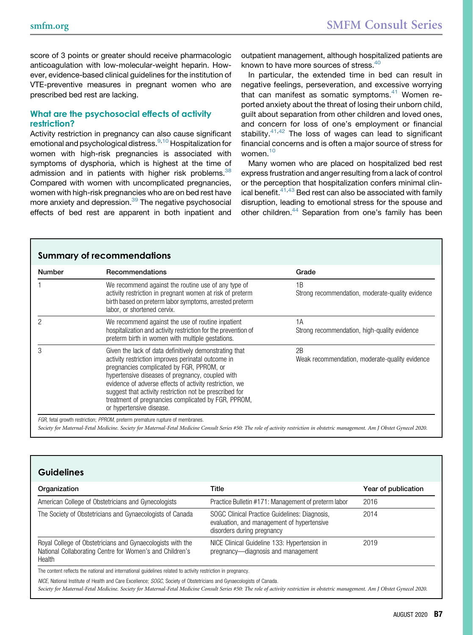score of 3 points or greater should receive pharmacologic anticoagulation with low-molecular-weight heparin. However, evidence-based clinical guidelines for the institution of VTE-preventive measures in pregnant women who are prescribed bed rest are lacking.

#### What are the psychosocial effects of activity restriction?

Activity restriction in pregnancy can also cause significant emotional and psychological distress.<sup>[9,](#page-7-16)[10](#page-7-7)</sup> Hospitalization for women with high-risk pregnancies is associated with symptoms of dysphoria, which is highest at the time of admission and in patients with higher risk problems.<sup>[38](#page-8-0)</sup> Compared with women with uncomplicated pregnancies, women with high-risk pregnancies who are on bed rest have more anxiety and depression.<sup>[39](#page-8-1)</sup> The negative psychosocial effects of bed rest are apparent in both inpatient and outpatient management, although hospitalized patients are known to have more sources of stress.<sup>[40](#page-8-2)</sup>

In particular, the extended time in bed can result in negative feelings, perseveration, and excessive worrying that can manifest as somatic symptoms. $41$  Women reported anxiety about the threat of losing their unborn child, guilt about separation from other children and loved ones, and concern for loss of one's employment or financial stability.<sup>[41,](#page-8-3)[42](#page-8-4)</sup> The loss of wages can lead to significant financial concerns and is often a major source of stress for women.<sup>[10](#page-7-7)</sup>

Many women who are placed on hospitalized bed rest express frustration and anger resulting from a lack of control or the perception that hospitalization confers minimal clin-ical benefit.<sup>[41](#page-8-3)[,43](#page-8-5)</sup> Bed rest can also be associated with family disruption, leading to emotional stress for the spouse and other children.<sup>[44](#page-8-6)</sup> Separation from one's family has been

| Number | Recommendations                                                                                                                                                                                                                                                                                                                                                                                                        | Grade                                                  |
|--------|------------------------------------------------------------------------------------------------------------------------------------------------------------------------------------------------------------------------------------------------------------------------------------------------------------------------------------------------------------------------------------------------------------------------|--------------------------------------------------------|
|        | We recommend against the routine use of any type of<br>activity restriction in pregnant women at risk of preterm<br>birth based on preterm labor symptoms, arrested preterm<br>labor, or shortened cervix.                                                                                                                                                                                                             | 1B<br>Strong recommendation, moderate-quality evidence |
|        | We recommend against the use of routine inpatient<br>hospitalization and activity restriction for the prevention of<br>preterm birth in women with multiple gestations.                                                                                                                                                                                                                                                | 1A<br>Strong recommendation, high-quality evidence     |
| 3      | Given the lack of data definitively demonstrating that<br>activity restriction improves perinatal outcome in<br>pregnancies complicated by FGR, PPROM, or<br>hypertensive diseases of pregnancy, coupled with<br>evidence of adverse effects of activity restriction, we<br>suggest that activity restriction not be prescribed for<br>treatment of pregnancies complicated by FGR, PPROM,<br>or hypertensive disease. | 2B<br>Weak recommendation, moderate-quality evidence   |

| <b>Guidelines</b>                                                                                                                                                                                                                                                                                       |                                                                                                                           |                     |  |  |
|---------------------------------------------------------------------------------------------------------------------------------------------------------------------------------------------------------------------------------------------------------------------------------------------------------|---------------------------------------------------------------------------------------------------------------------------|---------------------|--|--|
| Organization                                                                                                                                                                                                                                                                                            | Title                                                                                                                     | Year of publication |  |  |
| American College of Obstetricians and Gynecologists                                                                                                                                                                                                                                                     | Practice Bulletin #171: Management of preterm labor                                                                       | 2016                |  |  |
| The Society of Obstetricians and Gynaecologists of Canada                                                                                                                                                                                                                                               | SOGC Clinical Practice Guidelines: Diagnosis,<br>evaluation, and management of hypertensive<br>disorders during pregnancy | 2014                |  |  |
| Royal College of Obstetricians and Gynaecologists with the<br>National Collaborating Centre for Women's and Children's<br>Health                                                                                                                                                                        | NICE Clinical Guideline 133: Hypertension in<br>pregnancy-diagnosis and management                                        | 2019                |  |  |
| The content reflects the national and international quidelines related to activity restriction in pregnancy.                                                                                                                                                                                            |                                                                                                                           |                     |  |  |
| NICE, National Institute of Health and Care Excellence; SOGC, Society of Obstetricians and Gynaecologists of Canada.<br>Society for Maternal Fotal Medicine, Society for Maternal Fotal Medicine Concult Series #50. The role of activity restriction in obstatric management, Am I Obstat Cynecol 2020 |                                                                                                                           |                     |  |  |

Society for Maternal-Fetal Medicine. Society for Maternal-Fetal Medicine Consult Series #50: The role of activity restriction in obstetric management. Am J Obstet Gynecol 2020.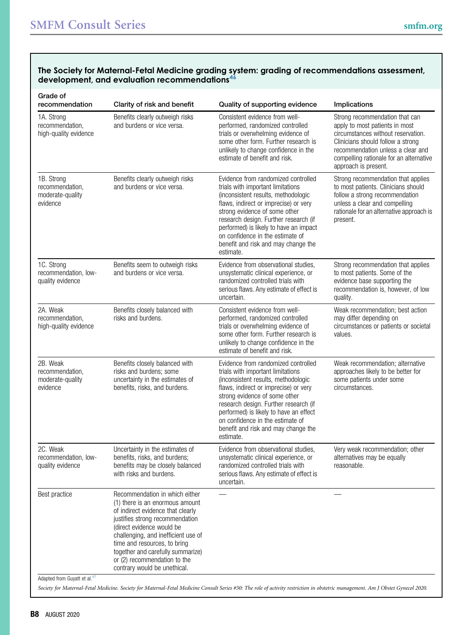# The Society for Maternal-Fetal Medicine grading system: grading of recommendations assessment, development, and evaluation recommendations<sup>[46](#page-8-7)</sup>

Grade of

| urauc vi<br>recommendation                                    | Clarity of risk and benefit                                                                                                                                                                                                                                                                                                                        | Quality of supporting evidence                                                                                                                                                                                                                                                                                                                                       | Implications                                                                                                                                                                                                                                        |
|---------------------------------------------------------------|----------------------------------------------------------------------------------------------------------------------------------------------------------------------------------------------------------------------------------------------------------------------------------------------------------------------------------------------------|----------------------------------------------------------------------------------------------------------------------------------------------------------------------------------------------------------------------------------------------------------------------------------------------------------------------------------------------------------------------|-----------------------------------------------------------------------------------------------------------------------------------------------------------------------------------------------------------------------------------------------------|
| 1A. Strong<br>recommendation.<br>high-quality evidence        | Benefits clearly outweigh risks<br>and burdens or vice versa.                                                                                                                                                                                                                                                                                      | Consistent evidence from well-<br>performed, randomized controlled<br>trials or overwhelming evidence of<br>some other form. Further research is<br>unlikely to change confidence in the<br>estimate of benefit and risk.                                                                                                                                            | Strong recommendation that can<br>apply to most patients in most<br>circumstances without reservation.<br>Clinicians should follow a strong<br>recommendation unless a clear and<br>compelling rationale for an alternative<br>approach is present. |
| 1B. Strong<br>recommendation,<br>moderate-quality<br>evidence | Benefits clearly outweigh risks<br>and burdens or vice versa.                                                                                                                                                                                                                                                                                      | Evidence from randomized controlled<br>trials with important limitations<br>(inconsistent results, methodologic<br>flaws, indirect or imprecise) or very<br>strong evidence of some other<br>research design. Further research (if<br>performed) is likely to have an impact<br>on confidence in the estimate of<br>benefit and risk and may change the<br>estimate. | Strong recommendation that applies<br>to most patients. Clinicians should<br>follow a strong recommendation<br>unless a clear and compelling<br>rationale for an alternative approach is<br>present.                                                |
| 1C. Strong<br>recommendation, low-<br>quality evidence        | Benefits seem to outweigh risks<br>and burdens or vice versa.                                                                                                                                                                                                                                                                                      | Evidence from observational studies,<br>unsystematic clinical experience, or<br>randomized controlled trials with<br>serious flaws. Any estimate of effect is<br>uncertain.                                                                                                                                                                                          | Strong recommendation that applies<br>to most patients. Some of the<br>evidence base supporting the<br>recommendation is, however, of low<br>quality.                                                                                               |
| 2A. Weak<br>recommendation,<br>high-quality evidence          | Benefits closely balanced with<br>risks and burdens.                                                                                                                                                                                                                                                                                               | Consistent evidence from well-<br>performed, randomized controlled<br>trials or overwhelming evidence of<br>some other form. Further research is<br>unlikely to change confidence in the<br>estimate of benefit and risk.                                                                                                                                            | Weak recommendation; best action<br>may differ depending on<br>circumstances or patients or societal<br>values.                                                                                                                                     |
| 2B. Weak<br>recommendation,<br>moderate-quality<br>evidence   | Benefits closely balanced with<br>risks and burdens; some<br>uncertainty in the estimates of<br>benefits, risks, and burdens.                                                                                                                                                                                                                      | Evidence from randomized controlled<br>trials with important limitations<br>(inconsistent results, methodologic<br>flaws, indirect or imprecise) or very<br>strong evidence of some other<br>research design. Further research (if<br>performed) is likely to have an effect<br>on confidence in the estimate of<br>benefit and risk and may change the<br>estimate. | Weak recommendation; alternative<br>approaches likely to be better for<br>some patients under some<br>circumstances.                                                                                                                                |
| 2C. Weak<br>recommendation, low-<br>quality evidence          | Uncertainty in the estimates of<br>benefits, risks, and burdens:<br>benefits may be closely balanced<br>with risks and burdens.                                                                                                                                                                                                                    | Evidence from observational studies,<br>unsystematic clinical experience, or<br>randomized controlled trials with<br>serious flaws. Any estimate of effect is<br>uncertain.                                                                                                                                                                                          | Very weak recommendation; other<br>alternatives may be equally<br>reasonable.                                                                                                                                                                       |
| Best practice<br>Adapted from Guyatt et al. <sup>47</sup>     | Recommendation in which either<br>(1) there is an enormous amount<br>of indirect evidence that clearly<br>justifies strong recommendation<br>(direct evidence would be<br>challenging, and inefficient use of<br>time and resources, to bring<br>together and carefully summarize)<br>or (2) recommendation to the<br>contrary would be unethical. |                                                                                                                                                                                                                                                                                                                                                                      |                                                                                                                                                                                                                                                     |

Society for Maternal-Fetal Medicine. Society for Maternal-Fetal Medicine Consult Series #50: The role of activity restriction in obstetric management. Am J Obstet Gynecol 2020.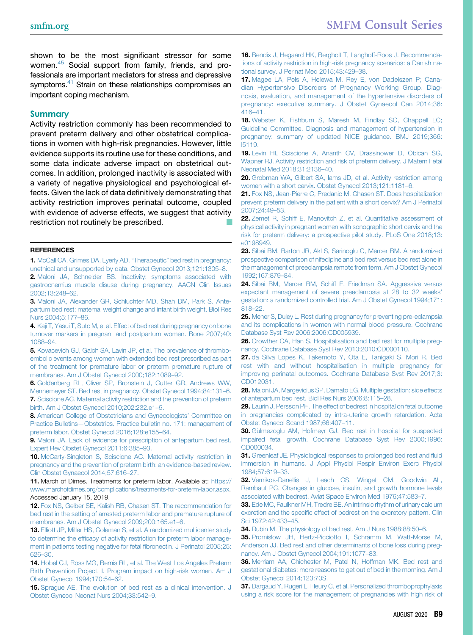shown to be the most significant stressor for some women.[45](#page-8-9) Social support from family, friends, and professionals are important mediators for stress and depressive symptoms.<sup>41</sup> Strain on these relationships compromises an important coping mechanism.

#### Summary

Activity restriction commonly has been recommended to prevent preterm delivery and other obstetrical complications in women with high-risk pregnancies. However, little evidence supports its routine use for these conditions, and some data indicate adverse impact on obstetrical outcomes. In addition, prolonged inactivity is associated with a variety of negative physiological and psychological effects. Given the lack of data definitively demonstrating that activity restriction improves perinatal outcome, coupled with evidence of adverse effects, we suggest that activity restriction not routinely be prescribed.

#### <span id="page-7-0"></span>**REFERENCES**

<span id="page-7-1"></span>1. [McCall CA, Grimes DA, Lyerly AD.](http://refhub.elsevier.com/S0002-9378(20)30517-2/sref1) "Therapeutic" bed rest in pregnancy: [unethical and unsupported by data. Obstet Gynecol 2013;121:1305](http://refhub.elsevier.com/S0002-9378(20)30517-2/sref1)–8.

2. [Maloni JA, Schneider BS. Inactivity: symptoms associated with](http://refhub.elsevier.com/S0002-9378(20)30517-2/sref2) [gastrocnemius muscle disuse during pregnancy. AACN Clin Issues](http://refhub.elsevier.com/S0002-9378(20)30517-2/sref2) [2002;13:248](http://refhub.elsevier.com/S0002-9378(20)30517-2/sref2)–62.

<span id="page-7-2"></span>3. [Maloni JA, Alexander GR, Schluchter MD, Shah DM, Park S. Ante](http://refhub.elsevier.com/S0002-9378(20)30517-2/sref3)[partum bed rest: maternal weight change and infant birth weight. Biol Res](http://refhub.elsevier.com/S0002-9378(20)30517-2/sref3) [Nurs 2004;5:177](http://refhub.elsevier.com/S0002-9378(20)30517-2/sref3)–86.

<span id="page-7-3"></span>4. [Kaji T, Yasui T, Suto M, et al. Effect of bed rest during pregnancy on bone](http://refhub.elsevier.com/S0002-9378(20)30517-2/sref4) [turnover markers in pregnant and postpartum women. Bone 2007;40:](http://refhub.elsevier.com/S0002-9378(20)30517-2/sref4) [1088](http://refhub.elsevier.com/S0002-9378(20)30517-2/sref4)–94.

<span id="page-7-4"></span>5. [Kovacevich GJ, Gaich SA, Lavin JP, et al. The prevalence of thrombo](http://refhub.elsevier.com/S0002-9378(20)30517-2/sref5)[embolic events among women with extended bed rest prescribed as part](http://refhub.elsevier.com/S0002-9378(20)30517-2/sref5) [of the treatment for premature labor or preterm premature rupture of](http://refhub.elsevier.com/S0002-9378(20)30517-2/sref5) [membranes. Am J Obstet Gynecol 2000;182:1089](http://refhub.elsevier.com/S0002-9378(20)30517-2/sref5)–92.

<span id="page-7-6"></span><span id="page-7-5"></span>6. [Goldenberg RL, Cliver SP, Bronstein J, Cutter GR, Andrews WW,](http://refhub.elsevier.com/S0002-9378(20)30517-2/sref6) [Mennemeyer ST. Bed rest in pregnancy. Obstet Gynecol 1994;84:131](http://refhub.elsevier.com/S0002-9378(20)30517-2/sref6)–6. 7. [Sciscione AC. Maternal activity restriction and the prevention of preterm](http://refhub.elsevier.com/S0002-9378(20)30517-2/sref7) [birth. Am J Obstet Gynecol 2010;202:232.e1](http://refhub.elsevier.com/S0002-9378(20)30517-2/sref7)–5.

8. [American College of Obstetricians and Gynecologists](http://refhub.elsevier.com/S0002-9378(20)30517-2/sref8)' Committee on Practice Bulletins—[Obstetrics. Practice bulletin no. 171: management of](http://refhub.elsevier.com/S0002-9378(20)30517-2/sref8) [preterm labor. Obstet Gynecol 2016;128:e155](http://refhub.elsevier.com/S0002-9378(20)30517-2/sref8)–64.

<span id="page-7-16"></span><span id="page-7-7"></span>9. [Maloni JA. Lack of evidence for prescription of antepartum bed rest.](http://refhub.elsevier.com/S0002-9378(20)30517-2/sref9) [Expert Rev Obstet Gynecol 2011;6:385](http://refhub.elsevier.com/S0002-9378(20)30517-2/sref9)–93.

10. [McCarty-Singleton S, Sciscione AC. Maternal activity restriction in](http://refhub.elsevier.com/S0002-9378(20)30517-2/sref10) [pregnancy and the prevention of preterm birth: an evidence-based review.](http://refhub.elsevier.com/S0002-9378(20)30517-2/sref10) [Clin Obstet Gynaecol 2014;57:616](http://refhub.elsevier.com/S0002-9378(20)30517-2/sref10)–27.

<span id="page-7-8"></span>11. March of Dimes. Treatments for preterm labor. Available at: [https://](https://www.marchofdimes.org/complications/treatments-for-preterm-labor.aspx) [www.marchofdimes.org/complications/treatments-for-preterm-labor.aspx](https://www.marchofdimes.org/complications/treatments-for-preterm-labor.aspx). Accessed January 15, 2019.

<span id="page-7-9"></span>12. [Fox NS, Gelber SE, Kalish RB, Chasen ST. The recommendation for](http://refhub.elsevier.com/S0002-9378(20)30517-2/sref12) [bed rest in the setting of arrested preterm labor and premature rupture of](http://refhub.elsevier.com/S0002-9378(20)30517-2/sref12) [membranes. Am J Obstet Gynecol 2009;200:165.e1](http://refhub.elsevier.com/S0002-9378(20)30517-2/sref12)–6.

<span id="page-7-10"></span>13. [Elliott JP, Miller HS, Coleman S, et al. A randomized multicenter study](http://refhub.elsevier.com/S0002-9378(20)30517-2/sref13) to determine the effi[cacy of activity restriction for preterm labor manage](http://refhub.elsevier.com/S0002-9378(20)30517-2/sref13)[ment in patients testing negative for fetal](http://refhub.elsevier.com/S0002-9378(20)30517-2/sref13) fibronectin. J Perinatol 2005;25: [626](http://refhub.elsevier.com/S0002-9378(20)30517-2/sref13)–30.

<span id="page-7-11"></span>14. [Hobel CJ, Ross MG, Bemis RL, et al. The West Los Angeles Preterm](http://refhub.elsevier.com/S0002-9378(20)30517-2/sref14) [Birth Prevention Project. I. Program impact on high-risk women. Am J](http://refhub.elsevier.com/S0002-9378(20)30517-2/sref14) [Obstet Gynecol 1994;170:54](http://refhub.elsevier.com/S0002-9378(20)30517-2/sref14)–62.

<span id="page-7-12"></span>15. [Sprague AE. The evolution of bed rest as a clinical intervention. J](http://refhub.elsevier.com/S0002-9378(20)30517-2/sref15) [Obstet Gynecol Neonat Nurs 2004;33:542](http://refhub.elsevier.com/S0002-9378(20)30517-2/sref15)–9.

<span id="page-7-13"></span>16. [Bendix J, Hegaard HK, Bergholt T, Langhoff-Roos J. Recommenda](http://refhub.elsevier.com/S0002-9378(20)30517-2/sref16)[tions of activity restriction in high-risk pregnancy scenarios: a Danish na](http://refhub.elsevier.com/S0002-9378(20)30517-2/sref16)[tional survey. J Perinat Med 2015;43:429](http://refhub.elsevier.com/S0002-9378(20)30517-2/sref16)–38.

<span id="page-7-14"></span>17. [Magee LA, Pels A, Helewa M, Rey E, von Dadelszen P; Cana](http://refhub.elsevier.com/S0002-9378(20)30517-2/sref17)[dian Hypertensive Disorders of Pregnancy Working Group. Diag](http://refhub.elsevier.com/S0002-9378(20)30517-2/sref17)[nosis, evaluation, and management of the hypertensive disorders of](http://refhub.elsevier.com/S0002-9378(20)30517-2/sref17) [pregnancy: executive summary. J Obstet Gynaecol Can 2014;36:](http://refhub.elsevier.com/S0002-9378(20)30517-2/sref17) [416](http://refhub.elsevier.com/S0002-9378(20)30517-2/sref17)–41.

<span id="page-7-15"></span>18. [Webster K, Fishburn S, Maresh M, Findlay SC, Chappell LC;](http://refhub.elsevier.com/S0002-9378(20)30517-2/sref18) [Guideline Committee. Diagnosis and management of hypertension in](http://refhub.elsevier.com/S0002-9378(20)30517-2/sref18) [pregnancy: summary of updated NICE guidance. BMJ 2019;366:](http://refhub.elsevier.com/S0002-9378(20)30517-2/sref18) [l5119.](http://refhub.elsevier.com/S0002-9378(20)30517-2/sref18)

<span id="page-7-17"></span>19. [Levin HI, Sciscione A, Ananth CV, Drassinower D, Obican SG,](http://refhub.elsevier.com/S0002-9378(20)30517-2/sref19) [Wapner RJ. Activity restriction and risk of preterm delivery. J Matern Fetal](http://refhub.elsevier.com/S0002-9378(20)30517-2/sref19) [Neonatal Med 2018;31:2136](http://refhub.elsevier.com/S0002-9378(20)30517-2/sref19)–40.

<span id="page-7-18"></span>20. Grobman WA, Gilbert SA, lams JD, et al. Activity restriction among [women with a short cervix. Obstet Gynecol 2013;121:1181](http://refhub.elsevier.com/S0002-9378(20)30517-2/sref20)–6.

<span id="page-7-19"></span>21. [Fox NS, Jean-Pierre C, Predanic M, Chasen ST. Does hospitalization](http://refhub.elsevier.com/S0002-9378(20)30517-2/sref21) [prevent preterm delivery in the patient with a short cervix? Am J Perinatol](http://refhub.elsevier.com/S0002-9378(20)30517-2/sref21) [2007;24:49](http://refhub.elsevier.com/S0002-9378(20)30517-2/sref21)–53.

<span id="page-7-20"></span>22. [Zemet R, Schiff E, Manovitch Z, et al. Quantitative assessment of](http://refhub.elsevier.com/S0002-9378(20)30517-2/sref22) [physical activity in pregnant women with sonographic short cervix and the](http://refhub.elsevier.com/S0002-9378(20)30517-2/sref22) [risk for preterm delivery: a prospective pilot study. PLoS One 2018;13:](http://refhub.elsevier.com/S0002-9378(20)30517-2/sref22) [e0198949.](http://refhub.elsevier.com/S0002-9378(20)30517-2/sref22)

<span id="page-7-21"></span>23. [Sibai BM, Barton JR, Akl S, Sarinoglu C, Mercer BM. A randomized](http://refhub.elsevier.com/S0002-9378(20)30517-2/sref23) [prospective comparison of nifedipine and bed rest versus bed rest alone in](http://refhub.elsevier.com/S0002-9378(20)30517-2/sref23) [the management of preeclampsia remote from term. Am J Obstet Gynecol](http://refhub.elsevier.com/S0002-9378(20)30517-2/sref23) [1992;167:879](http://refhub.elsevier.com/S0002-9378(20)30517-2/sref23)–84.

<span id="page-7-22"></span>24. [Sibai BM, Mercer BM, Schiff E, Friedman SA. Aggressive versus](http://refhub.elsevier.com/S0002-9378(20)30517-2/sref24) [expectant management of severe preeclampsia at 28 to 32 weeks](http://refhub.elsevier.com/S0002-9378(20)30517-2/sref24)' [gestation: a randomized controlled trial. Am J Obstet Gynecol 1994;171:](http://refhub.elsevier.com/S0002-9378(20)30517-2/sref24) [818](http://refhub.elsevier.com/S0002-9378(20)30517-2/sref24)–22.

<span id="page-7-23"></span>25. [Meher S, Duley L. Rest during pregnancy for preventing pre-eclampsia](http://refhub.elsevier.com/S0002-9378(20)30517-2/sref25) [and its complications in women with normal blood pressure. Cochrane](http://refhub.elsevier.com/S0002-9378(20)30517-2/sref25) [Database Syst Rev 2006;2006:CD005939.](http://refhub.elsevier.com/S0002-9378(20)30517-2/sref25)

<span id="page-7-24"></span>26. [Crowther CA, Han S. Hospitalisation and bed rest for multiple preg](http://refhub.elsevier.com/S0002-9378(20)30517-2/sref26)[nancy. Cochrane Database Syst Rev 2010;2010:CD000110.](http://refhub.elsevier.com/S0002-9378(20)30517-2/sref26)

<span id="page-7-25"></span>27. [da Silva Lopes K, Takemoto Y, Ota E, Tanigaki S, Mori R. Bed](http://refhub.elsevier.com/S0002-9378(20)30517-2/sref27) [rest with and without hospitalisation in multiple pregnancy for](http://refhub.elsevier.com/S0002-9378(20)30517-2/sref27) [improving perinatal outcomes. Cochrane Database Syst Rev 2017;3:](http://refhub.elsevier.com/S0002-9378(20)30517-2/sref27) [CD012031.](http://refhub.elsevier.com/S0002-9378(20)30517-2/sref27)

<span id="page-7-26"></span>28. [Maloni JA, Margevicius SP, Damato EG. Multiple gestation: side effects](http://refhub.elsevier.com/S0002-9378(20)30517-2/sref28) [of antepartum bed rest. Biol Res Nurs 2006;8:115](http://refhub.elsevier.com/S0002-9378(20)30517-2/sref28)–28.

<span id="page-7-27"></span>29. [Laurin J, Persson PH. The effect of bedrest in hospital on fetal outcome](http://refhub.elsevier.com/S0002-9378(20)30517-2/sref29) [in pregnancies complicated by intra-uterine growth retardation. Acta](http://refhub.elsevier.com/S0002-9378(20)30517-2/sref29) [Obstet Gynecol Scand 1987;66:407](http://refhub.elsevier.com/S0002-9378(20)30517-2/sref29)–11.

<span id="page-7-28"></span>30. [Gülmezoglu AM, Hofmeyr GJ. Bed rest in hospital for suspected](http://refhub.elsevier.com/S0002-9378(20)30517-2/sref30) [impaired fetal growth. Cochrane Database Syst Rev 2000;1996:](http://refhub.elsevier.com/S0002-9378(20)30517-2/sref30) [CD000034.](http://refhub.elsevier.com/S0002-9378(20)30517-2/sref30)

<span id="page-7-29"></span>31. [Greenleaf JE. Physiological responses to prolonged bed rest and](http://refhub.elsevier.com/S0002-9378(20)30517-2/sref31) fluid [immersion in humans. J Appl Physiol Respir Environ Exerc Physiol](http://refhub.elsevier.com/S0002-9378(20)30517-2/sref31) [1984;57:619](http://refhub.elsevier.com/S0002-9378(20)30517-2/sref31)–33.

<span id="page-7-30"></span>32. [Vernikos-Danellis J, Leach CS, Winget CM, Goodwin AL,](http://refhub.elsevier.com/S0002-9378(20)30517-2/sref32) [Rambaut PC. Changes in glucose, insulin, and growth hormone levels](http://refhub.elsevier.com/S0002-9378(20)30517-2/sref32) [associated with bedrest. Aviat Space Environ Med 1976;47:583](http://refhub.elsevier.com/S0002-9378(20)30517-2/sref32)–7.

<span id="page-7-31"></span>33. [Ede MC, Faulkner MH, Tredre BE. An intrinsic rhythm of urinary calcium](http://refhub.elsevier.com/S0002-9378(20)30517-2/sref33) excretion and the specifi[c effect of bedrest on the excretory pattern. Clin](http://refhub.elsevier.com/S0002-9378(20)30517-2/sref33) [Sci 1972;42:433](http://refhub.elsevier.com/S0002-9378(20)30517-2/sref33)–45.

<span id="page-7-32"></span>34. [Rubin M. The physiology of bed rest. Am J Nurs 1988;88:50](http://refhub.elsevier.com/S0002-9378(20)30517-2/sref34)-6.

<span id="page-7-33"></span>35. [Promislow JH, Hertz-Picciotto I, Schramm M, Watt-Morse M,](http://refhub.elsevier.com/S0002-9378(20)30517-2/sref35) [Anderson JJ. Bed rest and other determinants of bone loss during preg](http://refhub.elsevier.com/S0002-9378(20)30517-2/sref35)[nancy. Am J Obstet Gynecol 2004;191:1077](http://refhub.elsevier.com/S0002-9378(20)30517-2/sref35)–83.

<span id="page-7-34"></span>36. [Merriam AA, Chichester M, Patel N, Hoffman MK. Bed rest and](http://refhub.elsevier.com/S0002-9378(20)30517-2/sref36) [gestational diabetes: more reasons to get out of bed in the morning. Am J](http://refhub.elsevier.com/S0002-9378(20)30517-2/sref36) [Obstet Gynecol 2014;123:70S.](http://refhub.elsevier.com/S0002-9378(20)30517-2/sref36)

<span id="page-7-35"></span>37. [Dargaud Y, Rugeri L, Fleury C, et al. Personalized thromboprophylaxis](http://refhub.elsevier.com/S0002-9378(20)30517-2/sref37) [using a risk score for the management of pregnancies with high risk of](http://refhub.elsevier.com/S0002-9378(20)30517-2/sref37)